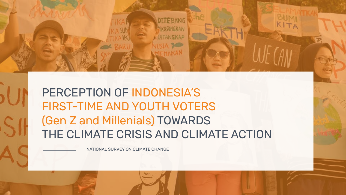

**DITEBANG** 

NKOSONGKAN

ITANGKAP

NATIONAL SURVEY ON CLIMATE CHANGE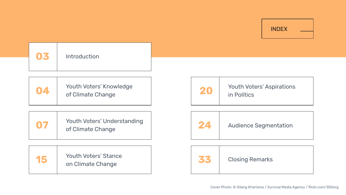| <b>INDEX</b> |  |
|--------------|--|
|              |  |

| 04 | Youth Voters' Knowledge<br>of Climate Change     | 20 | <b>Youth Voters' Aspirations</b><br>in Politics |
|----|--------------------------------------------------|----|-------------------------------------------------|
| 07 | Youth Voters' Understanding<br>of Climate Change | 24 | <b>Audience Segmentation</b>                    |



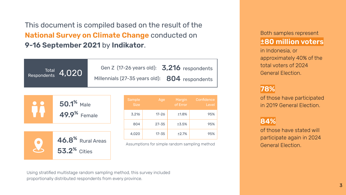This document is compiled based on the result of the **National Survey on Climate Change** conducted on **ȃ-ǻȀ September ǼǺǼǻ** by **Indikator**.

| Respondents 4,020 | Gen Z (17-26 years old): 3,216 respondents     |
|-------------------|------------------------------------------------|
|                   | Millennials (27-35 years old): 804 respondents |



**53.2<sup>%</sup>** Cities

| Sample<br><b>Size</b> | Age       | Margin<br>of Error | Confidence<br>Level |
|-----------------------|-----------|--------------------|---------------------|
| 3,216                 | $17 - 26$ | ±1.8%              | 95%                 |
| 804                   | $27 - 35$ | ±3.5%              | 95%                 |
| 4,020                 | $17 - 35$ | ±2.7%              | 95%                 |

Assumptions for simple random sampling method

#### Both samples represent **±80 million voters**

in Indonesia, or approximately 40% of the total voters of 2024 General Election.

#### **78%**

of those have participated in 2019 General Election

#### **ȂǾ%**

of those have stated will participate again in 2024 General Election.

Using stratified multistage random sampling method, this survey included proportionally distributed respondents from every province.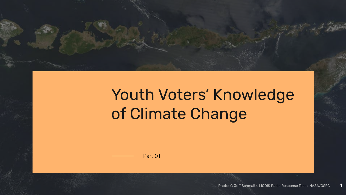

## Youth Voters' Knowledge of Climate Change

Part 01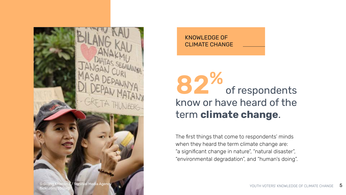

KNOWLEDGE OF CLIMATE CHANGE

### know or have heard of the term **climate change**. 82% of of respondents

The first things that come to respondents' minds when they heard the term climate change are: "a significant change in nature", "natural disaster", "environmental degradation", and "human's doing".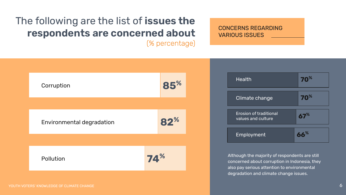### The following are the list of **issues the respondents are concerned about**

(% percentage)

CONCERNS REGARDING VARIOUS ISSUES



#### YOUTH VOTERS' KNOWLEDGE OF CLIMATE CHANGE Ȁ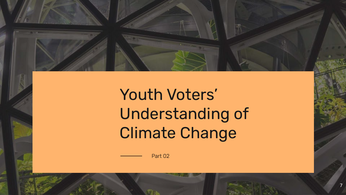

Youth Voters' Understanding of Climate Change

ȁ

Part 02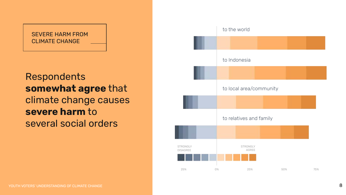#### SEVERE HARM FROM CLIMATE CHANGE

### Respondents **somewhat agree** that climate change causes **severe harm** to several social orders

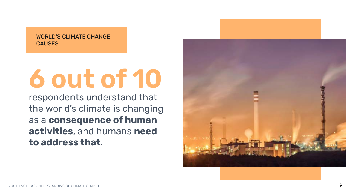WORLD'S CLIMATE CHANGE **CAUSES** 

# **Ȁ out of ǻǺ**

respondents understand that the world's climate is changing as a **consequence of human activities**, and humans **need to address that**.

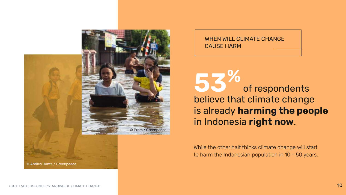

WHEN WILL CLIMATE CHANGE CAUSE HARM

**ǿǽ%** of respondents believe that climate change is already **harming the people** in Indonesia **right now**.

While the other half thinks climate change will start to harm the Indonesian population in 10 - 50 years.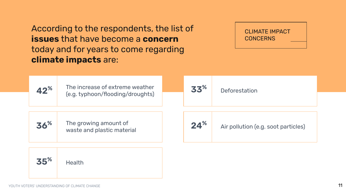According to the respondents, the list of **issues** that have become a **concern** today and for years to come regarding **climate impacts** are:

CLIMATE IMPACT **CONCERNS** 

| 42%             | The increase of extreme weather<br>(e.g. typhoon/flooding/droughts) | 33 <sup>%</sup> | Deforestation                       |
|-----------------|---------------------------------------------------------------------|-----------------|-------------------------------------|
| 36 <sup>%</sup> | The growing amount of<br>waste and plastic material                 | 24 <sup>%</sup> | Air pollution (e.g. soot particles) |
| 35%             | <b>Health</b>                                                       |                 |                                     |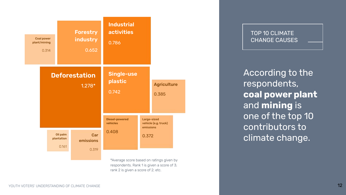

#### TOP 10 CLIMATE CHANGE CAUSES

According to the respondents, **coal power plant** and **mining** is one of the top 10 contributors to climate change.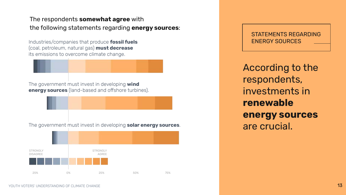#### The respondents **somewhat agree** with the following statements regarding **energy sources**:

Industries/companies that produce **fossil fuels** (coal, petroleum, natural gas) **must decrease** its emissions to overcome climate change.

The government must invest in developing **wind energy sources** (land-based and offshore turbines).

The government must invest in developing **solar energy sources**.



STATEMENTS REGARDING ENERGY SOURCES

According to the respondents, investments in **renewable energy sources** are crucial.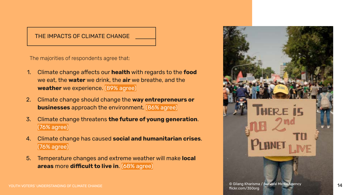#### THE IMPACTS OF CLIMATE CHANGE

The majorities of respondents agree that:

- ǻ. Climate change affects our **health** with regards to the **food** we eat, the **water** we drink, the **air** we breathe, and the **weather** we experience. [89% agree]
- Ǽ. Climate change should change the **way entrepreneurs or businesses** approach the environment. [86% agree]
- ǽ. Climate change threatens **the future of young generation**. (76% agree)
- Ǿ. Climate change has caused **social and humanitarian crises**.  $(76%$  agree)
- ǿ. Temperature changes and extreme weather will make **local areas** more **difficult to live in**. (68% agree)

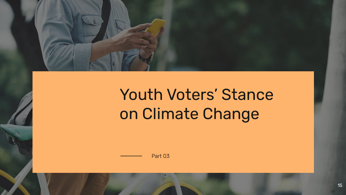

### Youth Voters' Stance on Climate Change

Part 03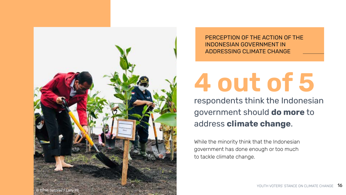

PERCEPTION OF THE ACTION OF THE INDONESIAN GOVERNMENT IN ADDRESSING CLIMATE CHANGE

## **Ǿ out of ǿ**

respondents think the Indonesian government should **do more** to address **climate change**.

While the minority think that the Indonesian government has done enough or too much to tackle climate change.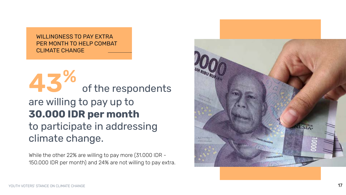WILLINGNESS TO PAY EXTRA PER MONTH TO HELP COMBAT CLIMATE CHANGE

**Ǿǽ %** of the respondents are willing to pay up to **30.000 IDR per month** to participate in addressing climate change.

While the other 22% are willing to pay more (31.000 IDR -150.000 IDR per month) and 24% are not willing to pay extra.

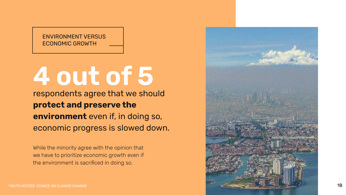ENVIRONMENT VERSUS ECONOMIC GROWTH

# **Ǿ out of ǿ**

respondents agree that we should **protect and preserve the environment** even if, in doing so, economic progress is slowed down.

While the minority agree with the opinion that we have to prioritize economic growth even if the environment is sacrificed in doing so.

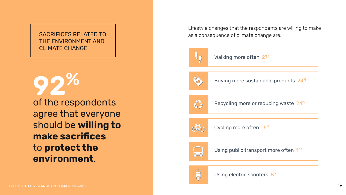#### SACRIFICES RELATED TO THE ENVIRONMENT AND CLIMATE CHANGE

of the respondents agree that everyone should be **willing to make sacrifices** to **protect the environment**. **92%** 

Lifestyle changes that the respondents are willing to make as a consequence of climate change are:



Walking more often 27<sup>%</sup>



Buying more sustainable products 24<sup>%</sup>



Recycling more or reducing waste 24<sup>%</sup>



Cycling more often 15<sup>%</sup>



Using public transport more often 11<sup>%</sup>

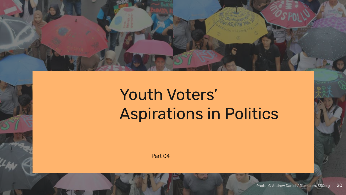

## Youth Voters' Aspirations in Politics

Part 04

**20** Photo: © Andrew Daniel / flickr.com/350org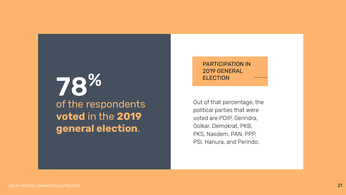### **ELECTION** of the respondents voted in the 2019 **general election**.

### PARTICIPATION IN 2019 GENERAL

Out of that percentage, the political parties that were voted are PDIP, Gerindra, Golkar, Demokrat, PKB, PKS, Nasdem, PAN, PPP, PSI, Hanura, and Perindo.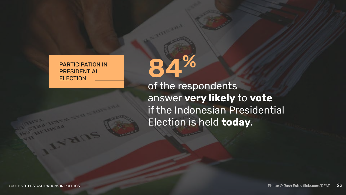PARTICIPATION IN PRESIDENTIAL

PARTICIPATION IN<br>PRESIDENTIAL<br>ELECTION of the respondents answer **very likely** to **vote** if the Indonesian Presidential Election is held **today**.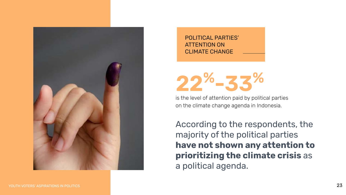

POLITICAL PARTIES' ATTENTION ON CLIMATE CHANGE

**b**%-z

is the level of attention paid by political parties on the climate change agenda in Indonesia.

According to the respondents, the majority of the political parties **have not shown any attention to prioritizing the climate crisis** as a political agenda.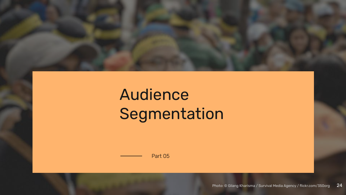

## Audience Segmentation

Part 05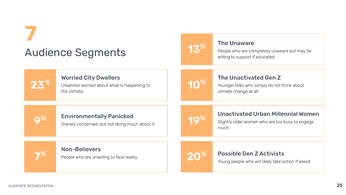### **ȁ** Audience Segments



#### The Unaware

People who are completely unaware but may be willing to support if educated.

| 23 <sup>%</sup> | <b>Worried City Dwellers</b><br>Urbanites worried about what is happening to<br>the climate. | 10%             | <b>The Unactivated Gen Z</b><br>Younger folks who simply do not think about<br>climate change at all. |
|-----------------|----------------------------------------------------------------------------------------------|-----------------|-------------------------------------------------------------------------------------------------------|
| <b>0%</b>       | <b>Environmentally Panicked</b><br>Gravely concerned, but not doing much about it.           | 10%             | <b>Unactivated Urban Millennial Women</b><br>Slightly older women who are too busy to engage<br>much. |
|                 | <b>Non-Believers</b><br>People who are unwilling to face reality.                            | 20 <sup>%</sup> | <b>Possible Gen Z Activists</b><br>Young people who will likely take action if asked.                 |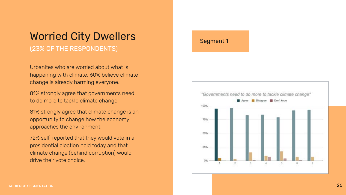### Worried City Dwellers

(23% OF THE RESPONDENTS)

Urbanites who are worried about what is happening with climate, 60% believe climate change is already harming everyone.

Ȃǻ% strongly agree that governments need to do more to tackle climate change.

81% strongly agree that climate change is an opportunity to change how the economy approaches the environment.

72% self-reported that they would vote in a presidential election held today and that climate change (behind corruption) would drive their vote choice.



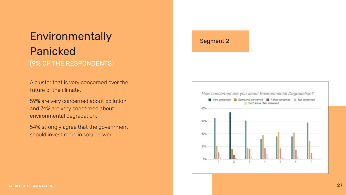### Environmentally Segment 2 Panicked (ȃ% OF THE RESPONDENTS)

A cluster that is very concerned over the future of the climate.

59% are very concerned about pollution and 74% are very concerned about environmental degradation.

54% strongly agree that the government should invest more in solar power.

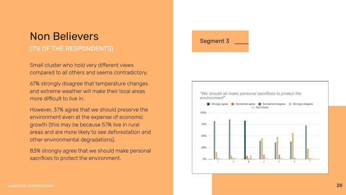### Non Believers Segment 3 (ȁ% OF THE RESPONDENTS)

Small cluster who hold very different views compared to all others and seems contradictory.

Ȁȁ% strongly disagree that temperature changes and extreme weather will make their local areas more difficult to live in.

However, 37% agree that we should preserve the environment even at the expense of economic growth (this may be because 57% live in rural areas and are more likely to see deforestation and other environmental degradations).

83% strongly agree that we should make personal sacrifices to protect the environment.

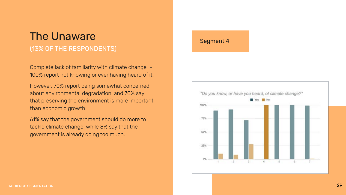### The Unaware **Segment 4** (13% OF THE RESPONDENTS)

Complete lack of familiarity with climate change – 100% report not knowing or ever having heard of it.

However, 70% report being somewhat concerned about environmental degradation, and 70% say that preserving the environment is more important than economic growth.

Ȁǻ% say that the government should do more to tackle climate change, while 8% say that the government is already doing too much.



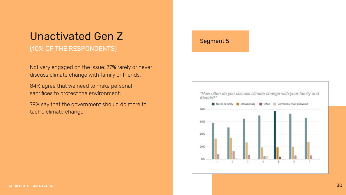### Unactivated Gen Z Segment 5

#### (10% OF THE RESPONDENTS)

Not very engaged on the issue: 77% rarely or never discuss climate change with family or friends.

84% agree that we need to make personal sacrifices to protect the environment.

79% say that the government should do more to tackle climate change.

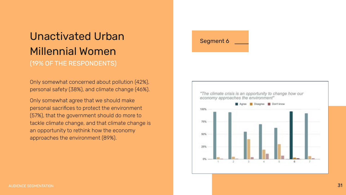### Unactivated Urban Segment 6 Millennial Women (ǻȃ% OF THE RESPONDENTS)

Only somewhat concerned about pollution (42%), personal safety (38%), and climate change (46%).

Only somewhat agree that we should make personal sacrifices to protect the environment (57%), that the government should do more to tackle climate change, and that climate change is an opportunity to rethink how the economy approaches the environment (89%).

![](_page_30_Picture_3.jpeg)

![](_page_30_Figure_4.jpeg)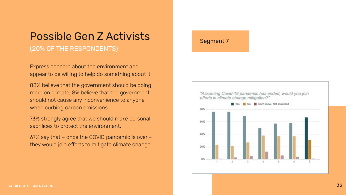### Possible Gen Z Activists Segment 7 (20% OF THE RESPONDENTS)

Express concern about the environment and appear to be willing to help do something about it.

88% believe that the government should be doing more on climate, 8% believe that the government should not cause any inconvenience to anyone when curbing carbon emissions.

73% strongly agree that we should make personal sacrifices to protect the environment.

Ȁȁ% say that – once the COVID pandemic is over – they would join efforts to mitigate climate change.

![](_page_31_Picture_5.jpeg)

![](_page_31_Figure_6.jpeg)